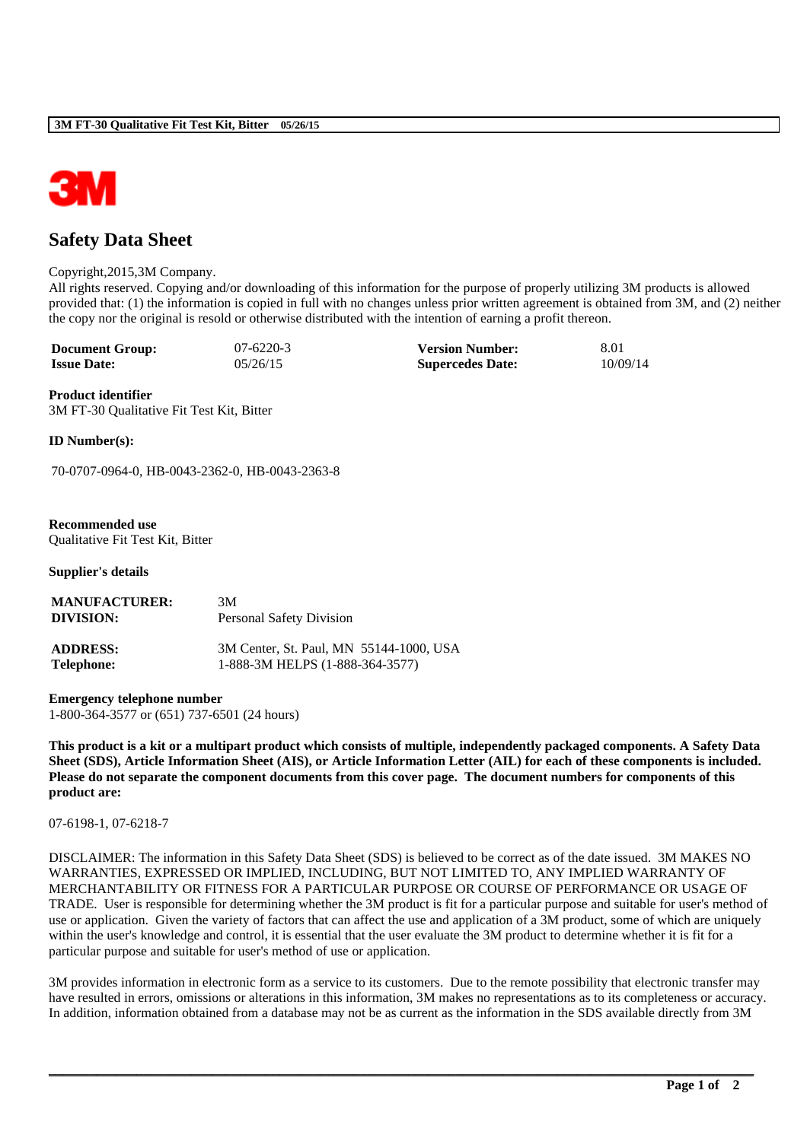

# **Safety Data Sheet**

#### Copyright,2015,3M Company.

All rights reserved. Copying and/or downloading of this information for the purpose of properly utilizing 3M products is allowed provided that: (1) the information is copied in full with no changes unless prior written agreement is obtained from 3M, and (2) neither the copy nor the original is resold or otherwise distributed with the intention of earning a profit thereon.

| <b>Document Group:</b> | $07-6220-3$ | <b>Version Number:</b>  | 8.01     |
|------------------------|-------------|-------------------------|----------|
| <b>Issue Date:</b>     | 05/26/15    | <b>Supercedes Date:</b> | 10/09/14 |

**Product identifier** 3M FT-30 Qualitative Fit Test Kit, Bitter

**ID Number(s):**

70-0707-0964-0, HB-0043-2362-0, HB-0043-2363-8

#### **Recommended use** Qualitative Fit Test Kit, Bitter

**Supplier's details**

| <b>MANUFACTURER:</b> | 3M                                      |
|----------------------|-----------------------------------------|
| DIVISION:            | <b>Personal Safety Division</b>         |
| <b>ADDRESS:</b>      | 3M Center, St. Paul, MN 55144-1000, USA |
| Telephone:           | 1-888-3M HELPS (1-888-364-3577)         |

**Emergency telephone number** 1-800-364-3577 or (651) 737-6501 (24 hours)

**This product is a kit or a multipart product which consists of multiple, independently packaged components. A Safety Data Sheet (SDS), Article Information Sheet (AIS), or Article Information Letter (AIL) for each of these components is included. Please do not separate the component documents from this cover page. The document numbers for components of this product are:** 

07-6198-1, 07-6218-7

DISCLAIMER: The information in this Safety Data Sheet (SDS) is believed to be correct as of the date issued. 3M MAKES NO WARRANTIES, EXPRESSED OR IMPLIED, INCLUDING, BUT NOT LIMITED TO, ANY IMPLIED WARRANTY OF MERCHANTABILITY OR FITNESS FOR A PARTICULAR PURPOSE OR COURSE OF PERFORMANCE OR USAGE OF TRADE. User is responsible for determining whether the 3M product is fit for a particular purpose and suitable for user's method of use or application. Given the variety of factors that can affect the use and application of a 3M product, some of which are uniquely within the user's knowledge and control, it is essential that the user evaluate the 3M product to determine whether it is fit for a particular purpose and suitable for user's method of use or application.

3M provides information in electronic form as a service to its customers. Due to the remote possibility that electronic transfer may have resulted in errors, omissions or alterations in this information, 3M makes no representations as to its completeness or accuracy. In addition, information obtained from a database may not be as current as the information in the SDS available directly from 3M

**\_\_\_\_\_\_\_\_\_\_\_\_\_\_\_\_\_\_\_\_\_\_\_\_\_\_\_\_\_\_\_\_\_\_\_\_\_\_\_\_\_\_\_\_\_\_\_\_\_\_\_\_\_\_\_\_\_\_\_\_\_\_\_\_\_\_\_\_\_\_\_\_\_\_\_\_\_\_\_\_\_\_\_\_\_\_\_\_\_\_\_\_\_\_\_\_\_\_\_\_\_\_\_\_**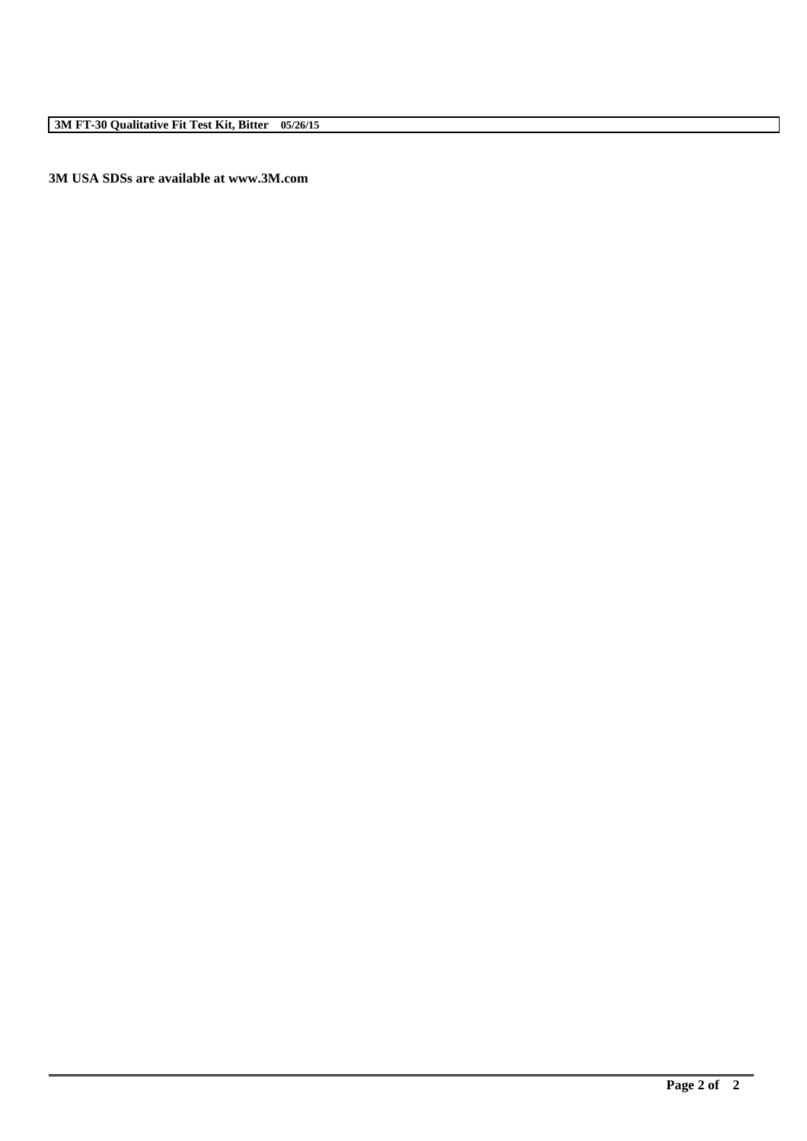**3M USA SDSs are available at www.3M.com**

**\_\_\_\_\_\_\_\_\_\_\_\_\_\_\_\_\_\_\_\_\_\_\_\_\_\_\_\_\_\_\_\_\_\_\_\_\_\_\_\_\_\_\_\_\_\_\_\_\_\_\_\_\_\_\_\_\_\_\_\_\_\_\_\_\_\_\_\_\_\_\_\_\_\_\_\_\_\_\_\_\_\_\_\_\_\_\_\_\_\_\_\_\_\_\_\_\_\_\_\_\_\_\_\_**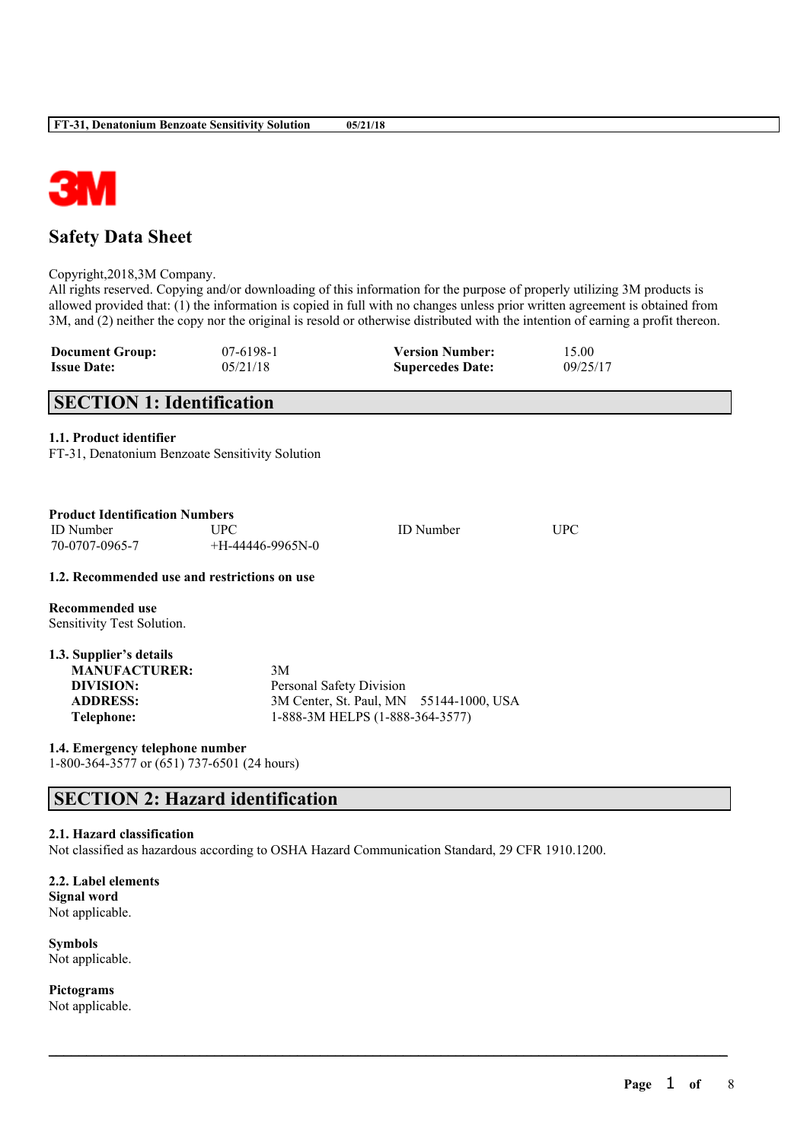

# **Safety Data Sheet**

Copyright,2018,3M Company.

All rights reserved. Copying and/or downloading of this information for the purpose of properly utilizing 3M products is allowed provided that: (1) the information is copied in full with no changes unless prior written agreement is obtained from 3M, and (2) neither the copy nor the original is resold or otherwise distributed with the intention of earning a profit thereon.

| <b>Document Group:</b> | 07-6198-1 | <b>Version Number:</b>  | 15.00    |
|------------------------|-----------|-------------------------|----------|
| <b>Issue Date:</b>     | 05/21/18  | <b>Supercedes Date:</b> | 09/25/17 |

# **SECTION 1: Identification**

# **1.1. Product identifier**

FT-31, Denatonium Benzoate Sensitivity Solution

| <b>Product Identification Numbers</b>        |                    |                  |      |  |
|----------------------------------------------|--------------------|------------------|------|--|
| ID Number                                    | UPC.               | <b>ID</b> Number | UPC. |  |
| 70-0707-0965-7                               | $+H-44446-9965N-0$ |                  |      |  |
| 1.2. Recommended use and restrictions on use |                    |                  |      |  |
| Recommended use                              |                    |                  |      |  |
| Sensitivity Test Solution.                   |                    |                  |      |  |

| 1.3. Supplier's details |                                         |  |
|-------------------------|-----------------------------------------|--|
| <b>MANUFACTURER:</b>    | 3M                                      |  |
| DIVISION:               | Personal Safety Division                |  |
| <b>ADDRESS:</b>         | 3M Center, St. Paul, MN 55144-1000, USA |  |
| Telephone:              | 1-888-3M HELPS (1-888-364-3577)         |  |

**1.4. Emergency telephone number** 1-800-364-3577 or (651) 737-6501 (24 hours)

# **SECTION 2: Hazard identification**

#### **2.1. Hazard classification**

Not classified as hazardous according to OSHA Hazard Communication Standard, 29 CFR 1910.1200.

 $\mathcal{L}_\mathcal{L} = \mathcal{L}_\mathcal{L} = \mathcal{L}_\mathcal{L} = \mathcal{L}_\mathcal{L} = \mathcal{L}_\mathcal{L} = \mathcal{L}_\mathcal{L} = \mathcal{L}_\mathcal{L} = \mathcal{L}_\mathcal{L} = \mathcal{L}_\mathcal{L} = \mathcal{L}_\mathcal{L} = \mathcal{L}_\mathcal{L} = \mathcal{L}_\mathcal{L} = \mathcal{L}_\mathcal{L} = \mathcal{L}_\mathcal{L} = \mathcal{L}_\mathcal{L} = \mathcal{L}_\mathcal{L} = \mathcal{L}_\mathcal{L}$ 

**2.2. Label elements Signal word** Not applicable.

**Symbols** Not applicable.

**Pictograms** Not applicable.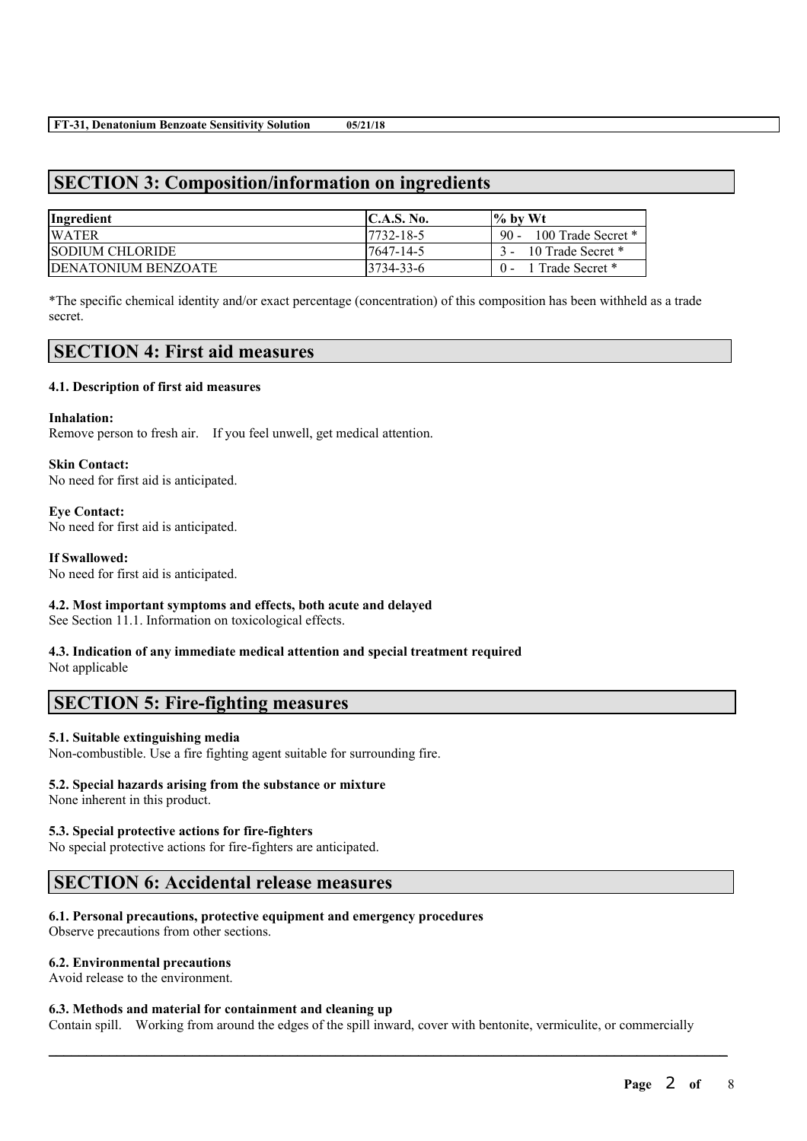# **SECTION 3: Composition/information on ingredients**

| Ingredient                  | C.A.S. No. | $\%$ by Wt              |
|-----------------------------|------------|-------------------------|
| <b>WATER</b>                | 17732-18-5 | 90 - 100 Trade Secret * |
| <b>SODIUM CHLORIDE</b>      | 17647-14-5 | 3 - 10 Trade Secret *   |
| <b>IDENATONIUM BENZOATE</b> | 3734-33-6  | 1 Trade Secret *        |

\*The specific chemical identity and/or exact percentage (concentration) of this composition has been withheld as a trade secret.

# **SECTION 4: First aid measures**

### **4.1. Description of first aid measures**

### **Inhalation:**

Remove person to fresh air. If you feel unwell, get medical attention.

### **Skin Contact:**

No need for first aid is anticipated.

### **Eye Contact:**

No need for first aid is anticipated.

### **If Swallowed:**

No need for first aid is anticipated.

# **4.2. Most important symptoms and effects, both acute and delayed**

See Section 11.1. Information on toxicological effects.

### **4.3. Indication of any immediate medical attention and special treatment required** Not applicable

# **SECTION 5: Fire-fighting measures**

### **5.1. Suitable extinguishing media**

Non-combustible. Use a fire fighting agent suitable for surrounding fire.

# **5.2. Special hazards arising from the substance or mixture**

None inherent in this product.

# **5.3. Special protective actions for fire-fighters**

No special protective actions for fire-fighters are anticipated.

# **SECTION 6: Accidental release measures**

### **6.1. Personal precautions, protective equipment and emergency procedures**

Observe precautions from other sections.

# **6.2. Environmental precautions**

Avoid release to the environment.

### **6.3. Methods and material for containment and cleaning up**

Contain spill. Working from around the edges of the spill inward, cover with bentonite, vermiculite, or commercially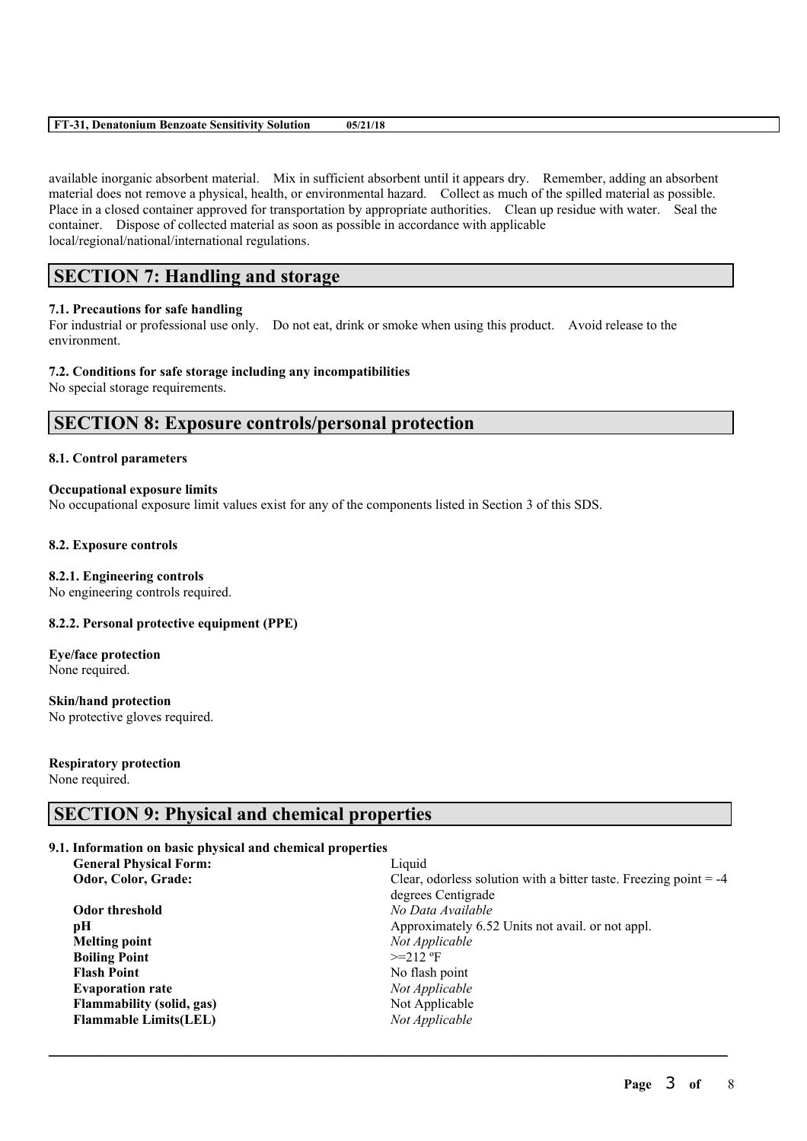#### **FT-31, Denatonium Benzoate Sensitivity Solution 05/21/18**

available inorganic absorbent material. Mix in sufficient absorbent until it appears dry. Remember, adding an absorbent material does not remove a physical, health, or environmental hazard. Collect as much of the spilled material as possible. Place in a closed container approved for transportation by appropriate authorities. Clean up residue with water. Seal the container. Dispose of collected material as soon as possible in accordance with applicable local/regional/national/international regulations.

# **SECTION 7: Handling and storage**

### **7.1. Precautions for safe handling**

For industrial or professional use only. Do not eat, drink or smoke when using this product. Avoid release to the environment.

### **7.2. Conditions for safe storage including any incompatibilities**

No special storage requirements.

# **SECTION 8: Exposure controls/personal protection**

### **8.1. Control parameters**

### **Occupational exposure limits**

No occupational exposure limit values exist for any of the components listed in Section 3 of this SDS.

#### **8.2. Exposure controls**

#### **8.2.1. Engineering controls**

No engineering controls required.

### **8.2.2. Personal protective equipment (PPE)**

**Eye/face protection** None required.

**Skin/hand protection** No protective gloves required.

# **Respiratory protection**

None required.

# **SECTION 9: Physical and chemical properties**

# **9.1. Information on basic physical and chemical properties**

| <b>General Physical Form:</b> | Liquid                                                              |
|-------------------------------|---------------------------------------------------------------------|
| Odor, Color, Grade:           | Clear, odorless solution with a bitter taste. Freezing point $= -4$ |
|                               | degrees Centigrade                                                  |
| Odor threshold                | No Data Available                                                   |
| рH                            | Approximately 6.52 Units not avail. or not appl.                    |
| <b>Melting point</b>          | Not Applicable                                                      |
| <b>Boiling Point</b>          | $>=212$ °F                                                          |
| <b>Flash Point</b>            | No flash point                                                      |
| <b>Evaporation rate</b>       | Not Applicable                                                      |
| Flammability (solid, gas)     | Not Applicable                                                      |
| <b>Flammable Limits(LEL)</b>  | Not Applicable                                                      |
|                               |                                                                     |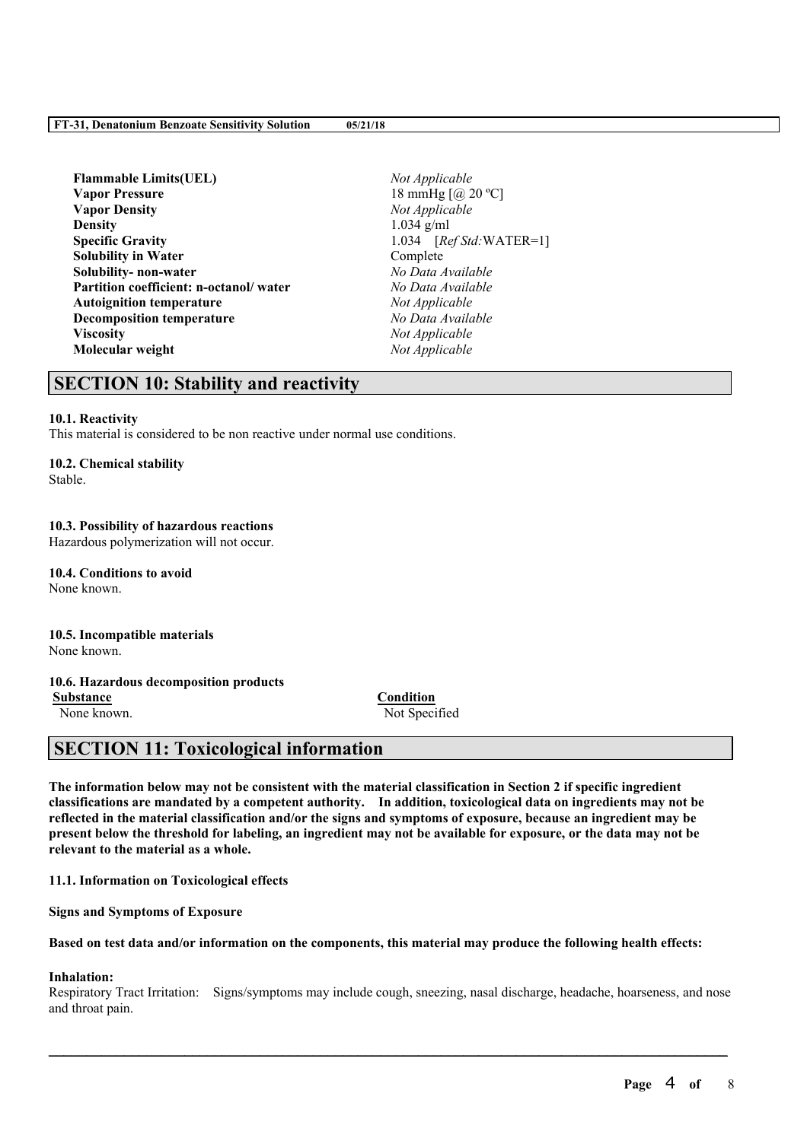#### **FT-31, Denatonium Benzoate Sensitivity Solution 05/21/18**

**Flammable Limits(UEL)** *Not Applicable* **Vapor Pressure** 18 mmHg  $\lceil \omega \rceil$  20 °C] **Vapor Density** *Not Applicable* **Density** 1.034 g/ml **Specific Gravity** 1.034 [*Ref Std:*WATER=1] **Solubility in Water** Complete **Solubility- non-water** *No Data Available* **Partition coefficient: n-octanol/ water** *No Data Available* **Autoignition temperature** *Not Applicable* **Decomposition temperature** *No Data Available* **Viscosity** *Not Applicable* **Molecular weight** *Not Applicable*

# **SECTION 10: Stability and reactivity**

### **10.1. Reactivity**

This material is considered to be non reactive under normal use conditions.

#### **10.2. Chemical stability**

Stable.

# **10.3. Possibility of hazardous reactions**

Hazardous polymerization will not occur.

**10.4. Conditions to avoid** None known.

#### **10.5. Incompatible materials** None known.

# **10.6. Hazardous decomposition products**

**Substance Condition**

None known. Not Specified

# **SECTION 11: Toxicological information**

The information below may not be consistent with the material classification in Section 2 if specific ingredient **classifications are mandated by a competent authority. In addition, toxicological data on ingredients may not be** reflected in the material classification and/or the signs and symptoms of exposure, because an ingredient may be present below the threshold for labeling, an ingredient may not be available for exposure, or the data may not be **relevant to the material as a whole.**

**11.1. Information on Toxicological effects**

**Signs and Symptoms of Exposure**

Based on test data and/or information on the components, this material may produce the following health effects:

#### **Inhalation:**

Respiratory Tract Irritation: Signs/symptoms may include cough, sneezing, nasal discharge, headache, hoarseness, and nose and throat pain.

 $\mathcal{L}_\mathcal{L} = \mathcal{L}_\mathcal{L} = \mathcal{L}_\mathcal{L} = \mathcal{L}_\mathcal{L} = \mathcal{L}_\mathcal{L} = \mathcal{L}_\mathcal{L} = \mathcal{L}_\mathcal{L} = \mathcal{L}_\mathcal{L} = \mathcal{L}_\mathcal{L} = \mathcal{L}_\mathcal{L} = \mathcal{L}_\mathcal{L} = \mathcal{L}_\mathcal{L} = \mathcal{L}_\mathcal{L} = \mathcal{L}_\mathcal{L} = \mathcal{L}_\mathcal{L} = \mathcal{L}_\mathcal{L} = \mathcal{L}_\mathcal{L}$ 

**Page** 4 **of** 8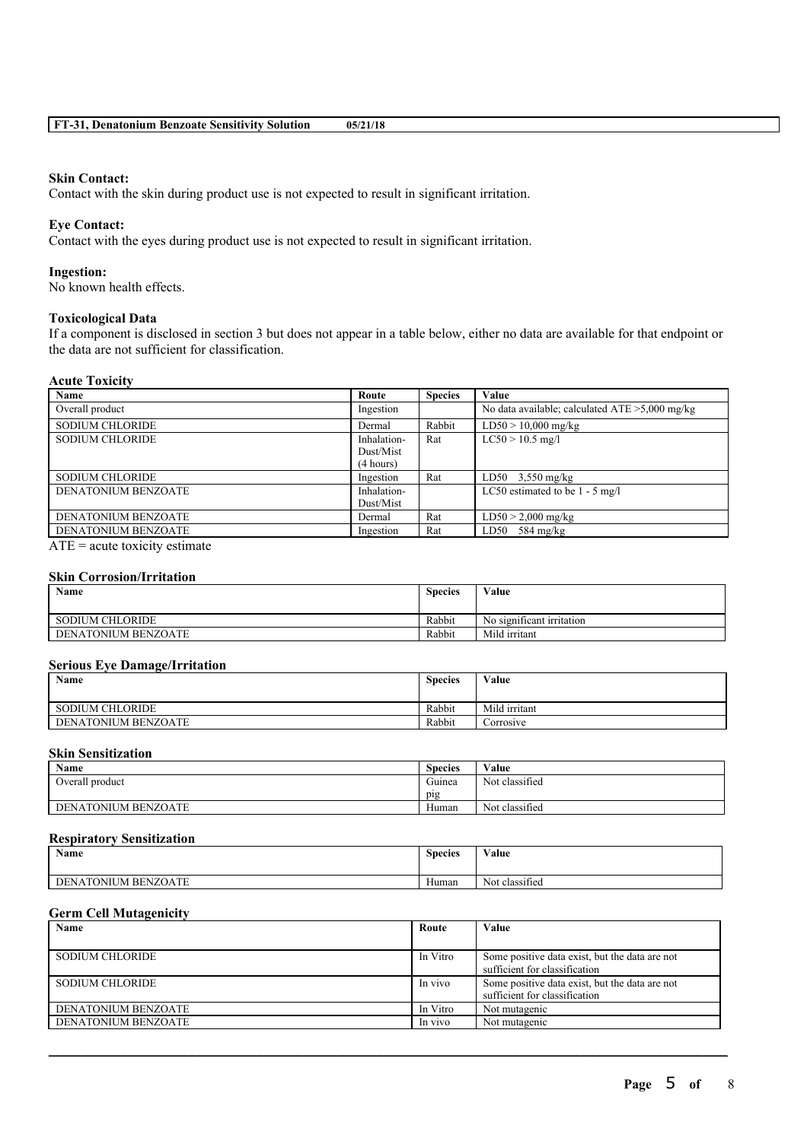#### **Skin Contact:**

Contact with the skin during product use is not expected to result in significant irritation.

# **Eye Contact:**

Contact with the eyes during product use is not expected to result in significant irritation.

#### **Ingestion:**

No known health effects.

#### **Toxicological Data**

If a component is disclosed in section 3 but does not appear in a table below, either no data are available for that endpoint or the data are not sufficient for classification.

#### **Acute Toxicity**

| Name                                                              | Route                                 | <b>Species</b> | Value                                             |
|-------------------------------------------------------------------|---------------------------------------|----------------|---------------------------------------------------|
| Overall product                                                   | Ingestion                             |                | No data available; calculated $ATE > 5,000$ mg/kg |
| <b>SODIUM CHLORIDE</b>                                            | Dermal                                | Rabbit         | $LD50 > 10,000$ mg/kg                             |
| <b>SODIUM CHLORIDE</b>                                            | Inhalation-<br>Dust/Mist<br>(4 hours) | Rat            | $LC50 > 10.5$ mg/l                                |
| <b>SODIUM CHLORIDE</b>                                            | Ingestion                             | Rat            | $LD50$ 3.550 mg/kg                                |
| <b>DENATONIUM BENZOATE</b>                                        | Inhalation-<br>Dust/Mist              |                | LC50 estimated to be $1 - 5$ mg/l                 |
| DENATONIUM BENZOATE                                               | Dermal                                | Rat            | $LD50 > 2,000$ mg/kg                              |
| DENATONIUM BENZOATE                                               | Ingestion                             | Rat            | $LD50$ 584 mg/kg                                  |
| $\Lambda \text{TE} = \Lambda$ and the initial cation of $\Lambda$ |                                       |                |                                                   |

 $ATE = acute$  toxicity estimate

# **Skin Corrosion/Irritation**

| Name                   | <b>Species</b> | Value                     |
|------------------------|----------------|---------------------------|
| <b>SODIUM CHLORIDE</b> | Rabbit         | No significant irritation |
| DENATONIUM BENZOATE    | Rabbit         | Mild irritant             |

#### **Serious Eye Damage/Irritation**

| $\rightarrow$<br>Name  | <b>Species</b> | Value         |
|------------------------|----------------|---------------|
| <b>SODIUM CHLORIDE</b> | Rabbit         | Mild irritant |
| DENATONIUM BENZOATE    | Rabbit         | Corrosive     |

### **Skin Sensitization**

| Name                | <b>Species</b>          | Value          |
|---------------------|-------------------------|----------------|
| Overall product     | $\sim$ $\sim$<br>Guinea | Not classified |
|                     | pig                     |                |
| DENATONIUM BENZOATE | Human                   | Not classified |

# **Respiratory Sensitization**

| <b>Name</b>         | $\sim$<br><b>Species</b> | $\mathbf{v}$ $\mathbf{v}$<br>∕ alue |
|---------------------|--------------------------|-------------------------------------|
| DENATONIUM BENZOATE | $\mathbf{v}$<br>Human    | $\cdot$ $\sim$<br>Not classified    |

### **Germ Cell Mutagenicity**

| Name                   | Route    | <b>Value</b>                                   |
|------------------------|----------|------------------------------------------------|
|                        |          |                                                |
| <b>SODIUM CHLORIDE</b> | In Vitro | Some positive data exist, but the data are not |
|                        |          | sufficient for classification                  |
| <b>SODIUM CHLORIDE</b> | In vivo  | Some positive data exist, but the data are not |
|                        |          | sufficient for classification                  |
| DENATONIUM BENZOATE    | In Vitro | Not mutagenic                                  |
| DENATONIUM BENZOATE    | In vivo  | Not mutagenic                                  |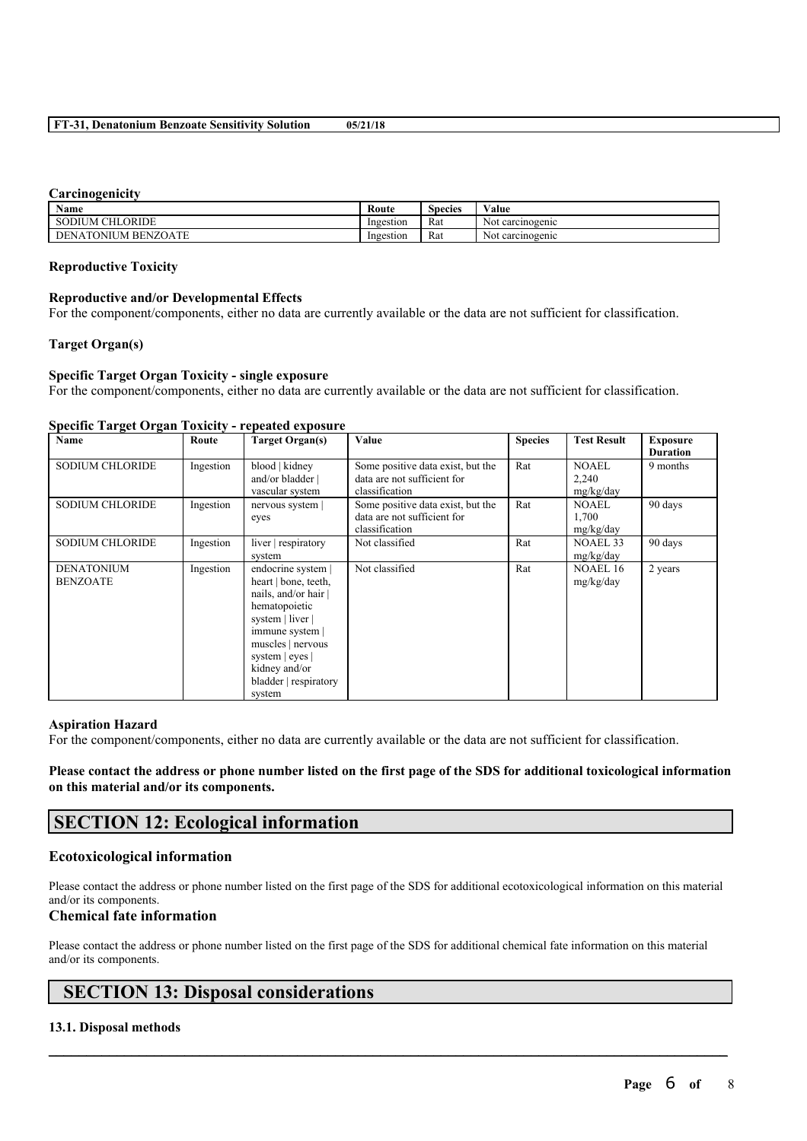#### **Carcinogenicity**

| Name                                     | Route     | $\sim$<br>Species | <b>WY 7</b><br>⁄ alue |
|------------------------------------------|-----------|-------------------|-----------------------|
| <b>SODIUM CHLORIDE</b>                   | Ingestion | Rat               | carcinogenic<br>Not   |
| <b>BENZOATE</b><br>)NII JM<br>DE<br>'NA. | Ingestion | Rat               | carcinogenic<br>Not   |

#### **Reproductive Toxicity**

#### **Reproductive and/or Developmental Effects**

For the component/components, either no data are currently available or the data are not sufficient for classification.

#### **Target Organ(s)**

#### **Specific Target Organ Toxicity - single exposure**

For the component/components, either no data are currently available or the data are not sufficient for classification.

#### **Specific Target Organ Toxicity - repeated exposure**

| <b>Name</b>                          | Route     | <b>Target Organ(s)</b>                                                                                                                                                                                               | Value                                                                              | <b>Species</b> | <b>Test Result</b>                 | <b>Exposure</b><br><b>Duration</b> |
|--------------------------------------|-----------|----------------------------------------------------------------------------------------------------------------------------------------------------------------------------------------------------------------------|------------------------------------------------------------------------------------|----------------|------------------------------------|------------------------------------|
| <b>SODIUM CHLORIDE</b>               | Ingestion | blood   kidney<br>and/or bladder  <br>vascular system                                                                                                                                                                | Some positive data exist, but the<br>data are not sufficient for<br>classification | Rat            | <b>NOAEL</b><br>2,240<br>mg/kg/day | 9 months                           |
| <b>SODIUM CHLORIDE</b>               | Ingestion | nervous system<br>eyes                                                                                                                                                                                               | Some positive data exist, but the<br>data are not sufficient for<br>classification | Rat            | <b>NOAEL</b><br>1,700<br>mg/kg/day | 90 days                            |
| <b>SODIUM CHLORIDE</b>               | Ingestion | liver respiratory<br>system                                                                                                                                                                                          | Not classified                                                                     | Rat            | NOAEL 33<br>mg/kg/day              | 90 days                            |
| <b>DENATONIUM</b><br><b>BENZOATE</b> | Ingestion | endocrine system  <br>heart   bone, teeth,<br>nails, and/or hair<br>hematopoietic<br>system   liver  <br>immune system  <br>muscles   nervous<br>system   eyes  <br>kidney and/or<br>bladder   respiratory<br>system | Not classified                                                                     | Rat            | <b>NOAEL 16</b><br>mg/kg/day       | 2 years                            |

#### **Aspiration Hazard**

For the component/components, either no data are currently available or the data are not sufficient for classification.

Please contact the address or phone number listed on the first page of the SDS for additional toxicological information **on this material and/or its components.**

# **SECTION 12: Ecological information**

### **Ecotoxicological information**

Please contact the address or phone number listed on the first page of the SDS for additional ecotoxicological information on this material and/or its components.

### **Chemical fate information**

Please contact the address or phone number listed on the first page of the SDS for additional chemical fate information on this material and/or its components.

 $\mathcal{L}_\mathcal{L} = \mathcal{L}_\mathcal{L} = \mathcal{L}_\mathcal{L} = \mathcal{L}_\mathcal{L} = \mathcal{L}_\mathcal{L} = \mathcal{L}_\mathcal{L} = \mathcal{L}_\mathcal{L} = \mathcal{L}_\mathcal{L} = \mathcal{L}_\mathcal{L} = \mathcal{L}_\mathcal{L} = \mathcal{L}_\mathcal{L} = \mathcal{L}_\mathcal{L} = \mathcal{L}_\mathcal{L} = \mathcal{L}_\mathcal{L} = \mathcal{L}_\mathcal{L} = \mathcal{L}_\mathcal{L} = \mathcal{L}_\mathcal{L}$ 

# **SECTION 13: Disposal considerations**

### **13.1. Disposal methods**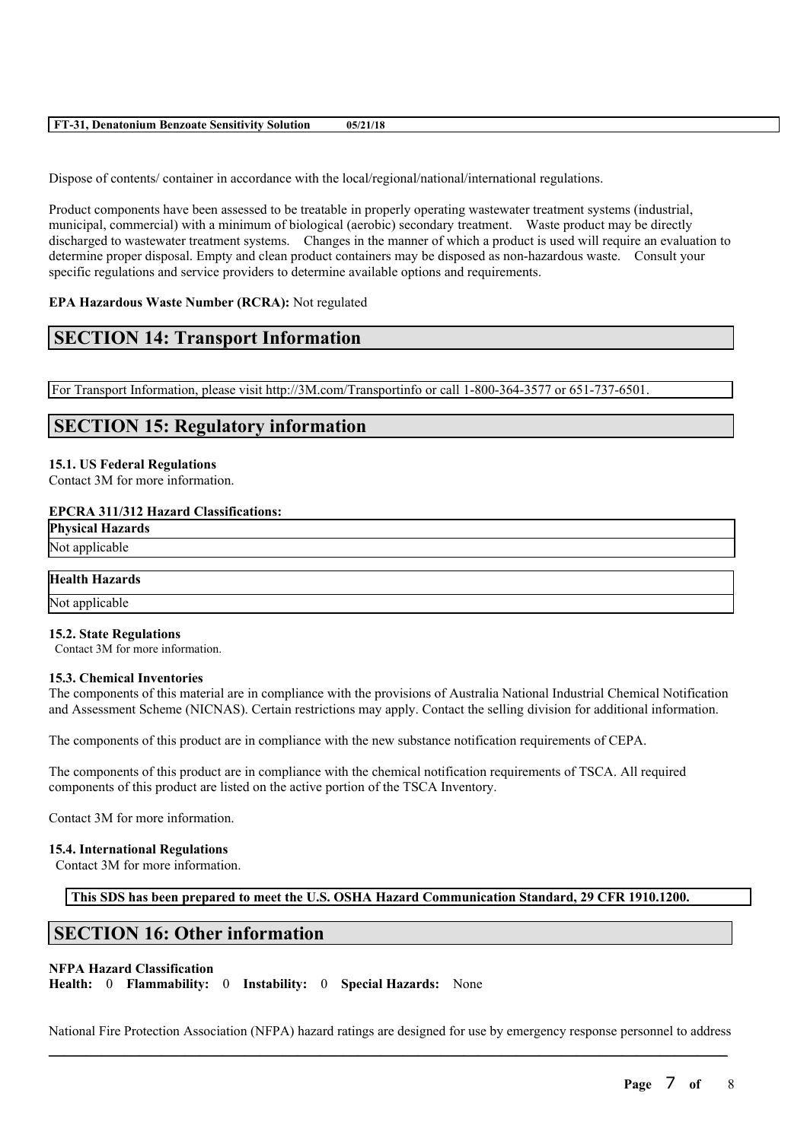| ET.<br>.<br>-05,<br>ium<br>Benzoate<br>Denatonr<br>Solution<br>Sensitivity<br>710 |
|-----------------------------------------------------------------------------------|
|-----------------------------------------------------------------------------------|

Dispose of contents/ container in accordance with the local/regional/national/international regulations.

Product components have been assessed to be treatable in properly operating wastewater treatment systems (industrial, municipal, commercial) with a minimum of biological (aerobic) secondary treatment. Waste product may be directly discharged to wastewater treatment systems. Changes in the manner of which a product is used will require an evaluation to determine proper disposal. Empty and clean product containers may be disposed as non-hazardous waste. Consult your specific regulations and service providers to determine available options and requirements.

#### **EPA Hazardous Waste Number (RCRA):** Not regulated

# **SECTION 14: Transport Information**

For Transport Information, please visit http://3M.com/Transportinfo or call 1-800-364-3577 or 651-737-6501.

# **SECTION 15: Regulatory information**

# **15.1. US Federal Regulations**

Contact 3M for more information.

#### **EPCRA 311/312 Hazard Classifications:**

**Physical Hazards** Not applicable

| <b>Health Hazards</b> |  |  |
|-----------------------|--|--|

Not applicable

#### **15.2. State Regulations**

Contact 3M for more information.

#### **15.3. Chemical Inventories**

The components of this material are in compliance with the provisions of Australia National Industrial Chemical Notification and Assessment Scheme (NICNAS). Certain restrictions may apply. Contact the selling division for additional information.

The components of this product are in compliance with the new substance notification requirements of CEPA.

The components of this product are in compliance with the chemical notification requirements of TSCA. All required components of this product are listed on the active portion of the TSCA Inventory.

Contact 3M for more information.

#### **15.4. International Regulations**

Contact 3M for more information.

**This SDS has been prepared to meet the U.S. OSHA Hazard Communication Standard, 29 CFR 1910.1200.**

# **SECTION 16: Other information**

#### **NFPA Hazard Classification**

**Health:** 0 **Flammability:** 0 **Instability:** 0 **Special Hazards:** None

 $\mathcal{L}_\mathcal{L} = \mathcal{L}_\mathcal{L} = \mathcal{L}_\mathcal{L} = \mathcal{L}_\mathcal{L} = \mathcal{L}_\mathcal{L} = \mathcal{L}_\mathcal{L} = \mathcal{L}_\mathcal{L} = \mathcal{L}_\mathcal{L} = \mathcal{L}_\mathcal{L} = \mathcal{L}_\mathcal{L} = \mathcal{L}_\mathcal{L} = \mathcal{L}_\mathcal{L} = \mathcal{L}_\mathcal{L} = \mathcal{L}_\mathcal{L} = \mathcal{L}_\mathcal{L} = \mathcal{L}_\mathcal{L} = \mathcal{L}_\mathcal{L}$ National Fire Protection Association (NFPA) hazard ratings are designed for use by emergency response personnel to address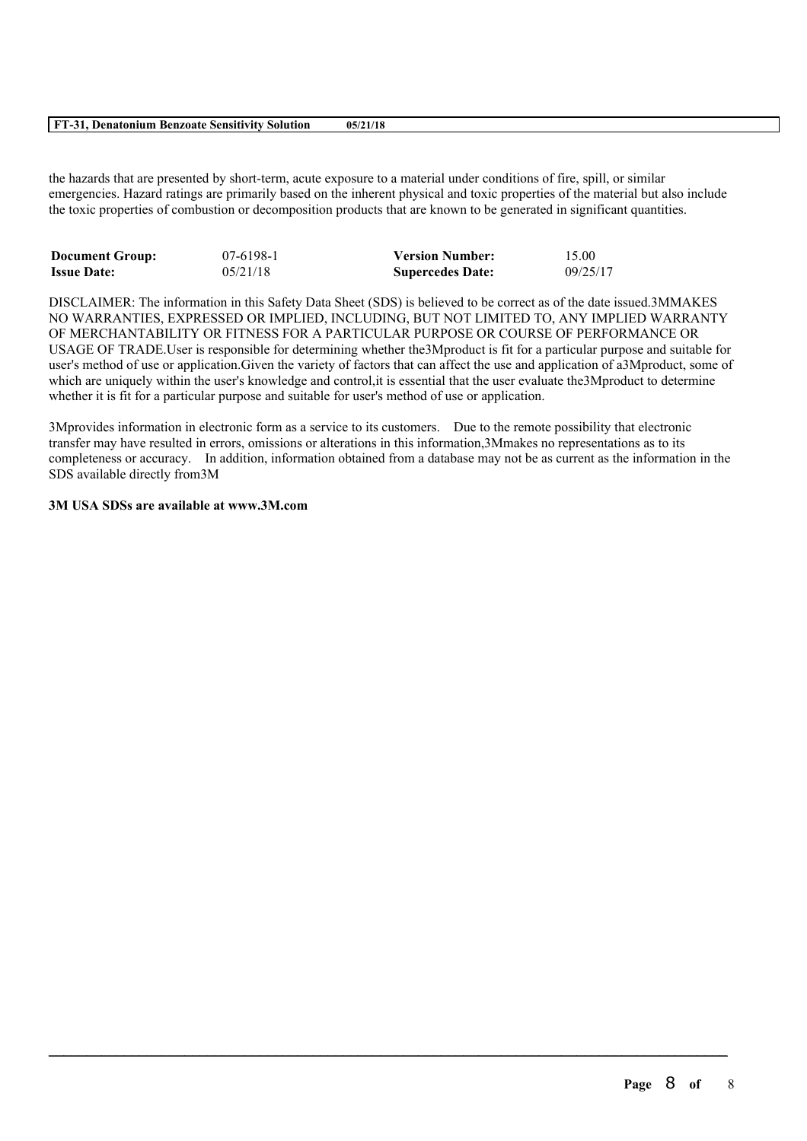#### **FT-31, Denatonium Benzoate Sensitivity Solution 05/21/18**

the hazards that are presented by short-term, acute exposure to a material under conditions of fire, spill, or similar emergencies. Hazard ratings are primarily based on the inherent physical and toxic properties of the material but also include the toxic properties of combustion or decomposition products that are known to be generated in significant quantities.

| <b>Document Group:</b> | $07-6198-1$ | <b>Version Number:</b>  | 15.00    |
|------------------------|-------------|-------------------------|----------|
| <b>Issue Date:</b>     | 05/21/18    | <b>Supercedes Date:</b> | 09/25/17 |

DISCLAIMER: The information in this Safety Data Sheet (SDS) is believed to be correct as of the date issued.3MMAKES NO WARRANTIES, EXPRESSED OR IMPLIED, INCLUDING, BUT NOT LIMITED TO, ANY IMPLIED WARRANTY OF MERCHANTABILITY OR FITNESS FOR A PARTICULAR PURPOSE OR COURSE OF PERFORMANCE OR USAGE OF TRADE.User is responsible for determining whether the3Mproduct is fit for a particular purpose and suitable for user's method of use or application.Given the variety of factors that can affect the use and application of a3Mproduct, some of which are uniquely within the user's knowledge and control, it is essential that the user evaluate the 3Mproduct to determine whether it is fit for a particular purpose and suitable for user's method of use or application.

3Mprovides information in electronic form as a service to its customers. Due to the remote possibility that electronic transfer may have resulted in errors, omissions or alterations in this information,3Mmakes no representations as to its completeness or accuracy. In addition, information obtained from a database may not be as current as the information in the SDS available directly from3M

 $\mathcal{L}_\mathcal{L} = \mathcal{L}_\mathcal{L} = \mathcal{L}_\mathcal{L} = \mathcal{L}_\mathcal{L} = \mathcal{L}_\mathcal{L} = \mathcal{L}_\mathcal{L} = \mathcal{L}_\mathcal{L} = \mathcal{L}_\mathcal{L} = \mathcal{L}_\mathcal{L} = \mathcal{L}_\mathcal{L} = \mathcal{L}_\mathcal{L} = \mathcal{L}_\mathcal{L} = \mathcal{L}_\mathcal{L} = \mathcal{L}_\mathcal{L} = \mathcal{L}_\mathcal{L} = \mathcal{L}_\mathcal{L} = \mathcal{L}_\mathcal{L}$ 

### **3M USA SDSs are available at www.3M.com**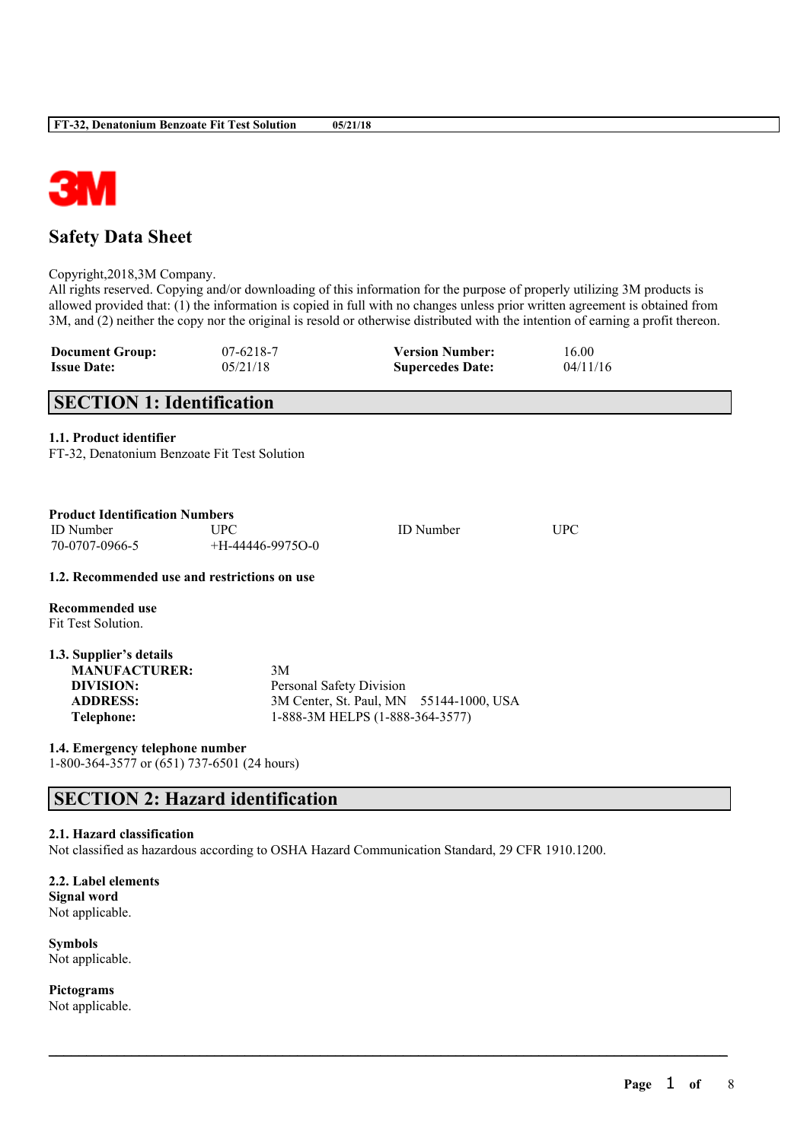

# **Safety Data Sheet**

Copyright,2018,3M Company.

All rights reserved. Copying and/or downloading of this information for the purpose of properly utilizing 3M products is allowed provided that: (1) the information is copied in full with no changes unless prior written agreement is obtained from 3M, and (2) neither the copy nor the original is resold or otherwise distributed with the intention of earning a profit thereon.

| <b>Document Group:</b> | $07-6218-7$ | <b>Version Number:</b>  | 16.00    |
|------------------------|-------------|-------------------------|----------|
| <b>Issue Date:</b>     | 05/21/18    | <b>Supercedes Date:</b> | 04/11/16 |

# **SECTION 1: Identification**

# **1.1. Product identifier**

FT-32, Denatonium Benzoate Fit Test Solution

| <b>Product Identification Numbers</b>        |                          |                                         |     |
|----------------------------------------------|--------------------------|-----------------------------------------|-----|
| <b>ID</b> Number                             | <b>UPC</b>               | <b>ID</b> Number                        | UPC |
| 70-0707-0966-5                               | $+H-44446-9975O-0$       |                                         |     |
| 1.2. Recommended use and restrictions on use |                          |                                         |     |
| Recommended use<br>Fit Test Solution.        |                          |                                         |     |
| 1.3. Supplier's details                      |                          |                                         |     |
| <b>MANUFACTURER:</b>                         | 3M                       |                                         |     |
| DIVISION:                                    | Personal Safety Division |                                         |     |
| <b>ADDRESS:</b>                              |                          | 3M Center, St. Paul, MN 55144-1000, USA |     |
| Telephone:                                   |                          | 1-888-3M HELPS (1-888-364-3577)         |     |

**1.4. Emergency telephone number** 1-800-364-3577 or (651) 737-6501 (24 hours)

# **SECTION 2: Hazard identification**

#### **2.1. Hazard classification**

Not classified as hazardous according to OSHA Hazard Communication Standard, 29 CFR 1910.1200.

 $\mathcal{L}_\mathcal{L} = \mathcal{L}_\mathcal{L} = \mathcal{L}_\mathcal{L} = \mathcal{L}_\mathcal{L} = \mathcal{L}_\mathcal{L} = \mathcal{L}_\mathcal{L} = \mathcal{L}_\mathcal{L} = \mathcal{L}_\mathcal{L} = \mathcal{L}_\mathcal{L} = \mathcal{L}_\mathcal{L} = \mathcal{L}_\mathcal{L} = \mathcal{L}_\mathcal{L} = \mathcal{L}_\mathcal{L} = \mathcal{L}_\mathcal{L} = \mathcal{L}_\mathcal{L} = \mathcal{L}_\mathcal{L} = \mathcal{L}_\mathcal{L}$ 

**2.2. Label elements Signal word** Not applicable.

**Symbols** Not applicable.

**Pictograms** Not applicable.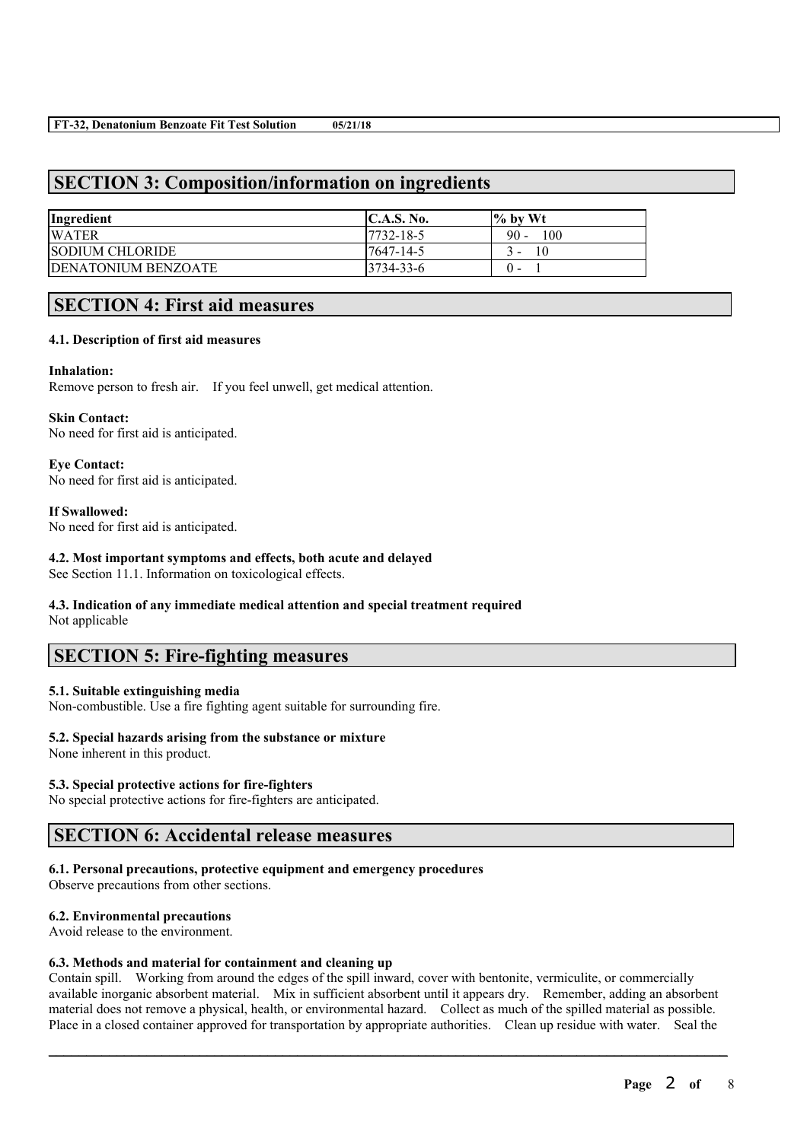# **SECTION 3: Composition/information on ingredients**

| Ingredient                  | <b>IC.A.S. No.</b> | $\frac{6}{10}$ by Wt |
|-----------------------------|--------------------|----------------------|
| <b>WATER</b>                | 7732-18-5          | $90 -$<br>100        |
| <b>SODIUM CHLORIDE</b>      | 7647-14-5          | 10<br>. .            |
| <b>IDENATONIUM BENZOATE</b> | $13734 - 33 - 6$   | $^{\circ}$           |

# **SECTION 4: First aid measures**

### **4.1. Description of first aid measures**

#### **Inhalation:**

Remove person to fresh air. If you feel unwell, get medical attention.

#### **Skin Contact:**

No need for first aid is anticipated.

# **Eye Contact:**

No need for first aid is anticipated.

### **If Swallowed:**

No need for first aid is anticipated.

### **4.2. Most important symptoms and effects, both acute and delayed**

See Section 11.1. Information on toxicological effects.

#### **4.3. Indication of any immediate medical attention and special treatment required** Not applicable

# **SECTION 5: Fire-fighting measures**

### **5.1. Suitable extinguishing media**

Non-combustible. Use a fire fighting agent suitable for surrounding fire.

# **5.2. Special hazards arising from the substance or mixture**

None inherent in this product.

# **5.3. Special protective actions for fire-fighters**

No special protective actions for fire-fighters are anticipated.

# **SECTION 6: Accidental release measures**

### **6.1. Personal precautions, protective equipment and emergency procedures**

Observe precautions from other sections.

### **6.2. Environmental precautions**

Avoid release to the environment.

### **6.3. Methods and material for containment and cleaning up**

Contain spill. Working from around the edges of the spill inward, cover with bentonite, vermiculite, or commercially available inorganic absorbent material. Mix in sufficient absorbent until it appears dry. Remember, adding an absorbent material does not remove a physical, health, or environmental hazard. Collect as much of the spilled material as possible. Place in a closed container approved for transportation by appropriate authorities. Clean up residue with water. Seal the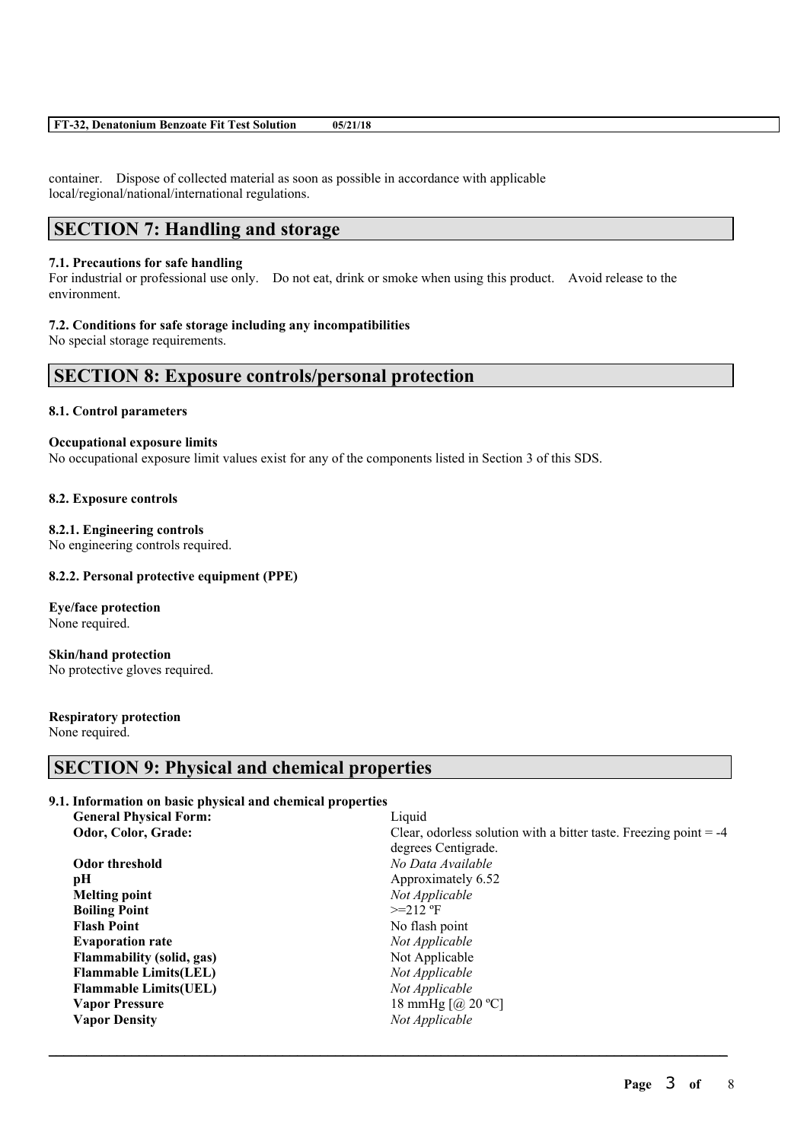| FT-32, Denatonium Benzoate Fit Test Solution | 05/21/18 |
|----------------------------------------------|----------|
|----------------------------------------------|----------|

container. Dispose of collected material as soon as possible in accordance with applicable local/regional/national/international regulations.

# **SECTION 7: Handling and storage**

### **7.1. Precautions for safe handling**

For industrial or professional use only. Do not eat, drink or smoke when using this product. Avoid release to the environment.

#### **7.2. Conditions for safe storage including any incompatibilities**

No special storage requirements.

# **SECTION 8: Exposure controls/personal protection**

### **8.1. Control parameters**

### **Occupational exposure limits**

No occupational exposure limit values exist for any of the components listed in Section 3 of this SDS.

#### **8.2. Exposure controls**

#### **8.2.1. Engineering controls**

No engineering controls required.

### **8.2.2. Personal protective equipment (PPE)**

**Eye/face protection** None required.

**Skin/hand protection** No protective gloves required.

# **Respiratory protection**

None required.

# **SECTION 9: Physical and chemical properties**

### **9.1. Information on basic physical and chemical properties**

| <b>General Physical Form:</b>    | Liquid                                                              |
|----------------------------------|---------------------------------------------------------------------|
| Odor, Color, Grade:              | Clear, odorless solution with a bitter taste. Freezing point $= -4$ |
|                                  | degrees Centigrade.                                                 |
| Odor threshold                   | No Data Available                                                   |
| pH                               | Approximately 6.52                                                  |
| <b>Melting point</b>             | Not Applicable                                                      |
| <b>Boiling Point</b>             | $>=212$ °F                                                          |
| <b>Flash Point</b>               | No flash point                                                      |
| <b>Evaporation rate</b>          | Not Applicable                                                      |
| <b>Flammability (solid, gas)</b> | Not Applicable                                                      |
| <b>Flammable Limits(LEL)</b>     | Not Applicable                                                      |
| <b>Flammable Limits (UEL)</b>    | Not Applicable                                                      |
| <b>Vapor Pressure</b>            | 18 mmHg $\left[$ ( <i>a</i> ) 20 °C $\right]$                       |
| <b>Vapor Density</b>             | Not Applicable                                                      |
|                                  |                                                                     |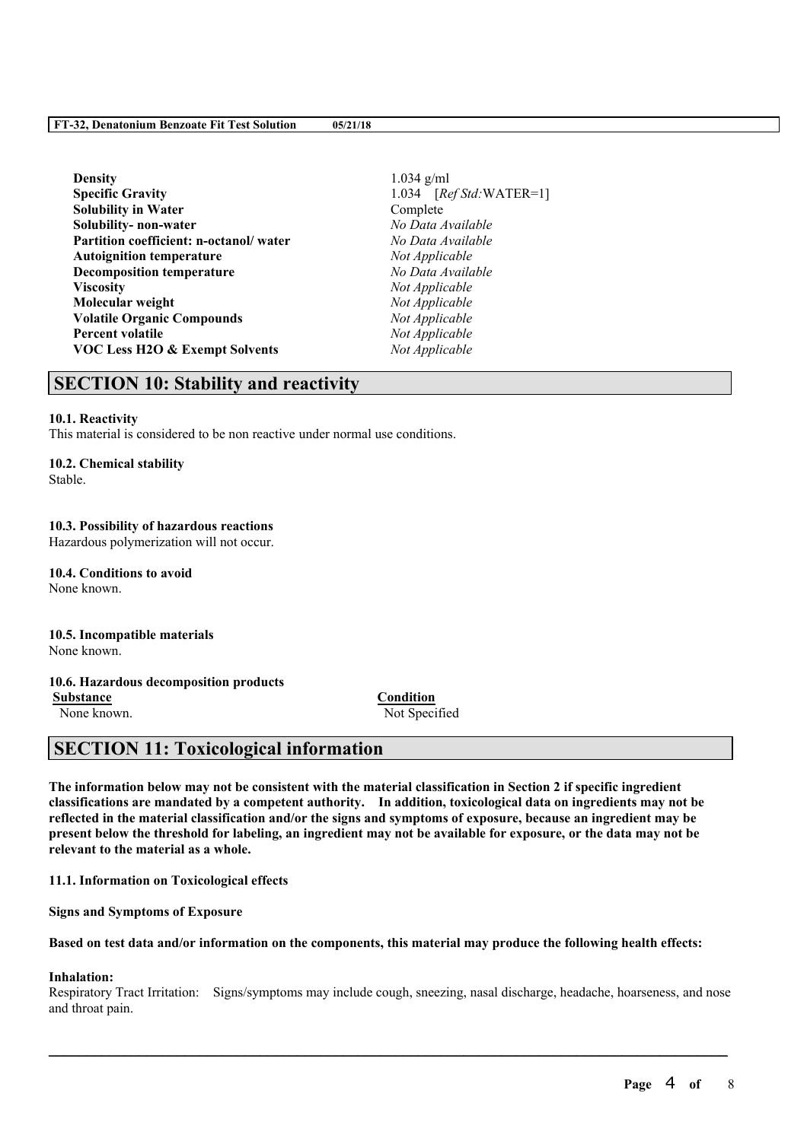#### **FT-32, Denatonium Benzoate Fit Test Solution 05/21/18**

| <b>Density</b>                         |
|----------------------------------------|
| <b>Specific Gravity</b>                |
| <b>Solubility in Water</b>             |
| Solubility- non-water                  |
| Partition coefficient: n-octanol/water |
| <b>Autoignition temperature</b>        |
| <b>Decomposition temperature</b>       |
| <b>Viscosity</b>                       |
| Molecular weight                       |
| <b>Volatile Organic Compounds</b>      |
| <b>Percent volatile</b>                |
| VOC Less H2O & Exempt Solvents         |
|                                        |

**Density** 1.034 g/ml **Specific Gravity** 1.034 [*Ref Std:*WATER=1]  $Complete$ **Solubility- non-water** *No Data Available* **Partition coefficient: n-octanol/ water** *No Data Available*  $Not Appliedble$ **Decomposition temperature** *No Data Available* **Viscosity** *Not Applicable*  $Not$  *Applicable*  $Not Appliedble$  $Not$  *Applicable*  $Not Appliedble$ 

# **SECTION 10: Stability and reactivity**

#### **10.1. Reactivity**

This material is considered to be non reactive under normal use conditions.

#### **10.2. Chemical stability**

Stable.

# **10.3. Possibility of hazardous reactions**

Hazardous polymerization will not occur.

**10.4. Conditions to avoid** None known.

#### **10.5. Incompatible materials** None known.

# **10.6. Hazardous decomposition products**

**Substance Condition**

None known. Not Specified

# **SECTION 11: Toxicological information**

The information below may not be consistent with the material classification in Section 2 if specific ingredient **classifications are mandated by a competent authority. In addition, toxicological data on ingredients may not be** reflected in the material classification and/or the signs and symptoms of exposure, because an ingredient may be present below the threshold for labeling, an ingredient may not be available for exposure, or the data may not be **relevant to the material as a whole.**

**11.1. Information on Toxicological effects**

**Signs and Symptoms of Exposure**

Based on test data and/or information on the components, this material may produce the following health effects:

#### **Inhalation:**

Respiratory Tract Irritation: Signs/symptoms may include cough, sneezing, nasal discharge, headache, hoarseness, and nose and throat pain.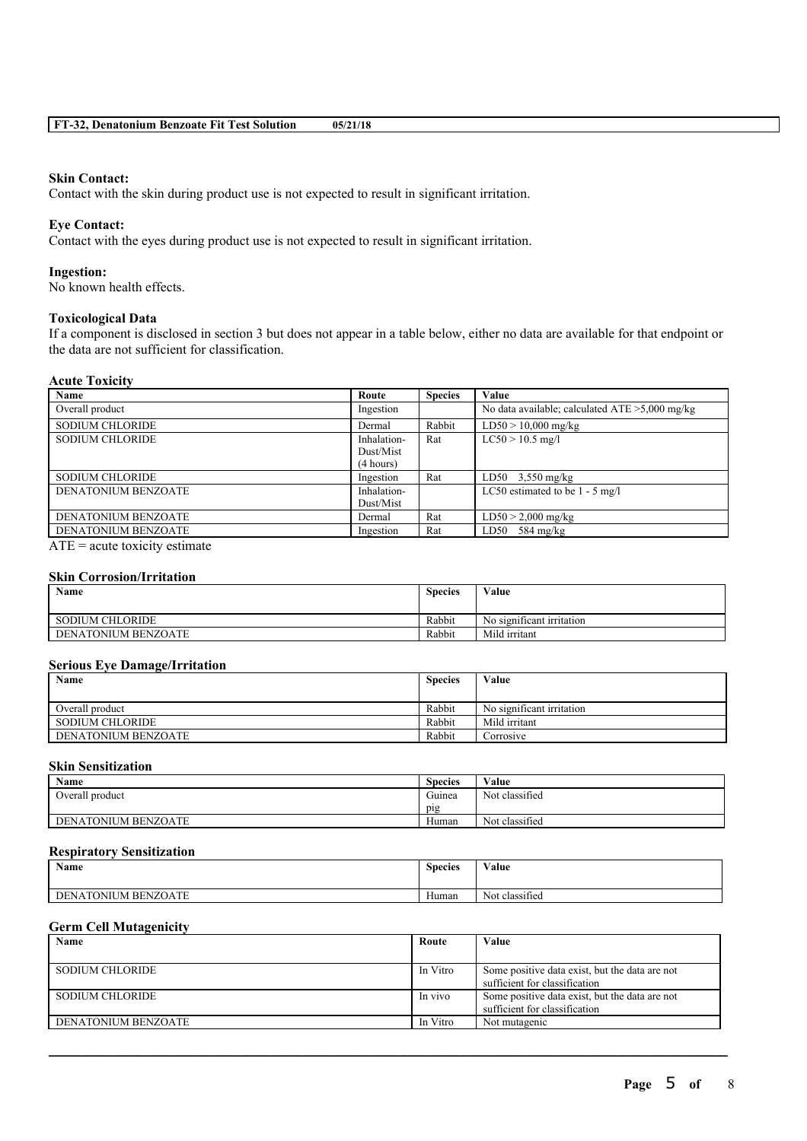#### **Skin Contact:**

Contact with the skin during product use is not expected to result in significant irritation.

# **Eye Contact:**

Contact with the eyes during product use is not expected to result in significant irritation.

#### **Ingestion:**

No known health effects.

#### **Toxicological Data**

If a component is disclosed in section 3 but does not appear in a table below, either no data are available for that endpoint or the data are not sufficient for classification.

#### **Acute Toxicity**

| Name                   | Route                                 | <b>Species</b> | Value                                             |
|------------------------|---------------------------------------|----------------|---------------------------------------------------|
| Overall product        | Ingestion                             |                | No data available; calculated $ATE > 5,000$ mg/kg |
| <b>SODIUM CHLORIDE</b> | Dermal                                | Rabbit         | $LD50 > 10,000$ mg/kg                             |
| <b>SODIUM CHLORIDE</b> | Inhalation-<br>Dust/Mist<br>(4 hours) | Rat            | $LC50 > 10.5$ mg/l                                |
| <b>SODIUM CHLORIDE</b> | Ingestion                             | Rat            | LD50 $3,550 \text{ mg/kg}$                        |
| DENATONIUM BENZOATE    | Inhalation-<br>Dust/Mist              |                | LC50 estimated to be $1 - 5$ mg/l                 |
| DENATONIUM BENZOATE    | Dermal                                | Rat            | $LD50 > 2,000$ mg/kg                              |
| DENATONIUM BENZOATE    | Ingestion                             | Rat            | $LD50$ 584 mg/kg                                  |
| $\blacksquare$         |                                       |                |                                                   |

 $ATE = acute$  toxicity estimate

# **Skin Corrosion/Irritation**

| Name                   | <b>Species</b> | Value                     |
|------------------------|----------------|---------------------------|
| <b>SODIUM CHLORIDE</b> | Rabbit         | No significant irritation |
| DENATONIUM BENZOATE    | Rabbit         | Mild irritant             |

#### **Serious Eye Damage/Irritation**

| Name                | <b>Species</b> | Value                     |
|---------------------|----------------|---------------------------|
| Overall product     | Rabbit         | No significant irritation |
| SODIUM CHLORIDE     | Rabbit         | Mild irritant             |
| DENATONIUM BENZOATE | Rabbit         | Corrosive                 |

# **Skin Sensitization**

| Name                | <b>Species</b> | Value          |
|---------------------|----------------|----------------|
| Overall product     | Guinea         | Not classified |
|                     | pig            |                |
| DENATONIUM BENZOATE | Human          | Not classified |

#### **Respiratory Sensitization**

| $\rightarrow$<br><b>Name</b> | $\sim$<br><b>Species</b> | Value                            |
|------------------------------|--------------------------|----------------------------------|
| DENATONIUM BENZOATE          | <b>YY</b><br>Human       | $\cdot$ $\sim$<br>Not classified |

### **Germ Cell Mutagenicity**

| Name                   | Route    | Value                                                                           |
|------------------------|----------|---------------------------------------------------------------------------------|
|                        |          |                                                                                 |
| <b>SODIUM CHLORIDE</b> | In Vitro | Some positive data exist, but the data are not<br>sufficient for classification |
| <b>SODIUM CHLORIDE</b> | In vivo  | Some positive data exist, but the data are not<br>sufficient for classification |
| DENATONIUM BENZOATE    | In Vitro | Not mutagenic                                                                   |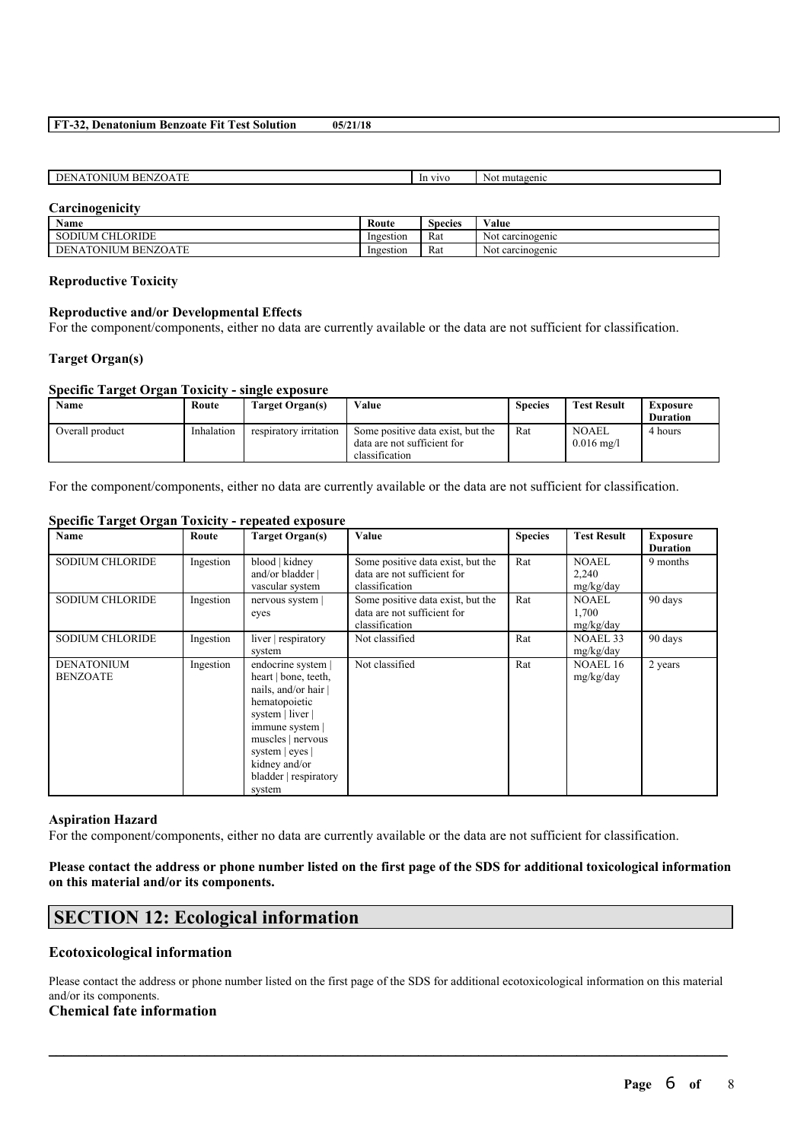#### **FT-32, Denatonium Benzoate Fit Test Solution 05/21/18**

| <b>CONTRACTOR</b><br>DENA<br>$\mathbf{A}$<br>БF<br>ATONIUN<br>. IME<br>N<br>63. I. L<br>. . | <b>VIVG</b><br> | mutagenic<br>Not |
|---------------------------------------------------------------------------------------------|-----------------|------------------|
|                                                                                             |                 |                  |

#### **Carcinogenicity**

| Name                                         | Route     | $\sim$<br>Species | $\mathbf{v}$<br>Value |
|----------------------------------------------|-----------|-------------------|-----------------------|
| $\alpha$ tt<br>ORIDE<br><b>SODIUM</b><br>'NL | Ingestion | Rat               | carcinogenic<br>NOt   |
| TONIUM BENZOATE<br>DE<br>'NA.                | Ingestion | Rat               | carcinogenic<br>Not   |

#### **Reproductive Toxicity**

#### **Reproductive and/or Developmental Effects**

For the component/components, either no data are currently available or the data are not sufficient for classification.

#### **Target Organ(s)**

#### **Specific Target Organ Toxicity - single exposure**

| Name            | Route      | Target Organ(s)        | Value                                                                              | <b>Species</b> | <b>Test Result</b>                   | Exposure        |
|-----------------|------------|------------------------|------------------------------------------------------------------------------------|----------------|--------------------------------------|-----------------|
|                 |            |                        |                                                                                    |                |                                      | <b>Duration</b> |
| Overall product | Inhalation | respiratory irritation | Some positive data exist, but the<br>data are not sufficient for<br>classification | Rat            | <b>NOAEL</b><br>$0.016 \text{ mg/l}$ | 4 hours         |

For the component/components, either no data are currently available or the data are not sufficient for classification.

#### **Name Route Route Target Organ(s) Value Species Species Species Species Result Exposure Duration** SODIUM CHLORIDE Ingestion blood | kidney and/or bladder | vascular system Some positive data exist, but the data are not sufficient for classification Rat NOAEL 2,240 mg/kg/day 9 months SODIUM CHLORIDE Ingestion nervous system | eyes Some positive data exist, but the data are not sufficient for classification Rat NOAEL 1,700 mg/kg/day 90 days SODIUM CHLORIDE | Ingestion | liver | respiratory system Not classified Rat NOAEL 33 mg/kg/day 90 days DENATONIUM BENZOATE Ingestion endocrine system | heart | bone, teeth, nails, and/or hair | hematopoietic system | liver | immune system | muscles | nervous system | eyes | kidney and/or bladder | respiratory system Not classified Rat NOAEL 16 mg/kg/day 2 years

# **Specific Target Organ Toxicity - repeated exposure**

#### **Aspiration Hazard**

For the component/components, either no data are currently available or the data are not sufficient for classification.

# Please contact the address or phone number listed on the first page of the SDS for additional toxicological information **on this material and/or its components.**

# **SECTION 12: Ecological information**

### **Ecotoxicological information**

Please contact the address or phone number listed on the first page of the SDS for additional ecotoxicological information on this material and/or its components.

 $\mathcal{L}_\mathcal{L} = \mathcal{L}_\mathcal{L} = \mathcal{L}_\mathcal{L} = \mathcal{L}_\mathcal{L} = \mathcal{L}_\mathcal{L} = \mathcal{L}_\mathcal{L} = \mathcal{L}_\mathcal{L} = \mathcal{L}_\mathcal{L} = \mathcal{L}_\mathcal{L} = \mathcal{L}_\mathcal{L} = \mathcal{L}_\mathcal{L} = \mathcal{L}_\mathcal{L} = \mathcal{L}_\mathcal{L} = \mathcal{L}_\mathcal{L} = \mathcal{L}_\mathcal{L} = \mathcal{L}_\mathcal{L} = \mathcal{L}_\mathcal{L}$ 

### **Chemical fate information**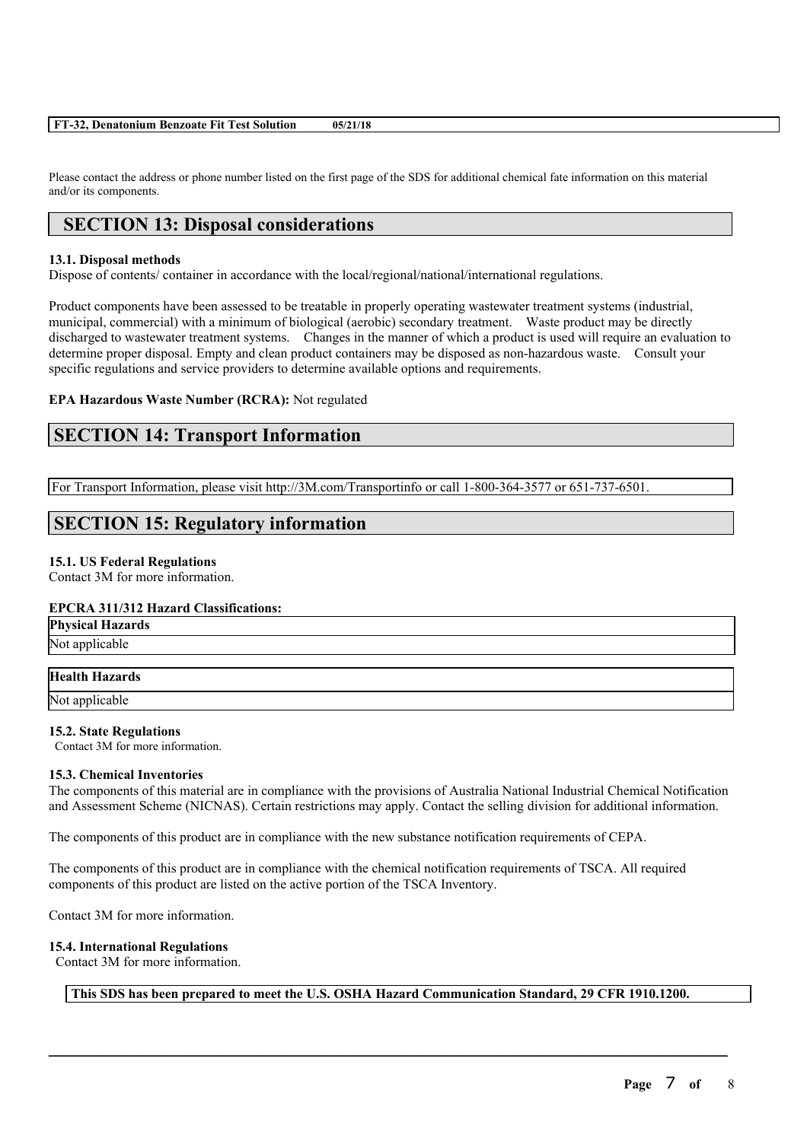|  |  | FT-32, Denatonium Benzoate Fit Test Solution | 05/21/18 |
|--|--|----------------------------------------------|----------|
|--|--|----------------------------------------------|----------|

Please contact the address or phone number listed on the first page of the SDS for additional chemical fate information on this material and/or its components.

# **SECTION 13: Disposal considerations**

#### **13.1. Disposal methods**

Dispose of contents/ container in accordance with the local/regional/national/international regulations.

Product components have been assessed to be treatable in properly operating wastewater treatment systems (industrial, municipal, commercial) with a minimum of biological (aerobic) secondary treatment. Waste product may be directly discharged to wastewater treatment systems. Changes in the manner of which a product is used will require an evaluation to determine proper disposal. Empty and clean product containers may be disposed as non-hazardous waste. Consult your specific regulations and service providers to determine available options and requirements.

#### **EPA Hazardous Waste Number (RCRA):** Not regulated

# **SECTION 14: Transport Information**

For Transport Information, please visit http://3M.com/Transportinfo or call 1-800-364-3577 or 651-737-6501.

# **SECTION 15: Regulatory information**

#### **15.1. US Federal Regulations**

Contact 3M for more information.

#### **EPCRA 311/312 Hazard Classifications:**

| <b>Physical Hazards</b><br>Not applicable |
|-------------------------------------------|
|                                           |

### **Health Hazards**

Not applicable

### **15.2. State Regulations**

Contact 3M for more information.

#### **15.3. Chemical Inventories**

The components of this material are in compliance with the provisions of Australia National Industrial Chemical Notification and Assessment Scheme (NICNAS). Certain restrictions may apply. Contact the selling division for additional information.

The components of this product are in compliance with the new substance notification requirements of CEPA.

The components of this product are in compliance with the chemical notification requirements of TSCA. All required components of this product are listed on the active portion of the TSCA Inventory.

Contact 3M for more information.

#### **15.4. International Regulations**

Contact 3M for more information.

**This SDS has been prepared to meet the U.S. OSHA Hazard Communication Standard, 29 CFR 1910.1200.**